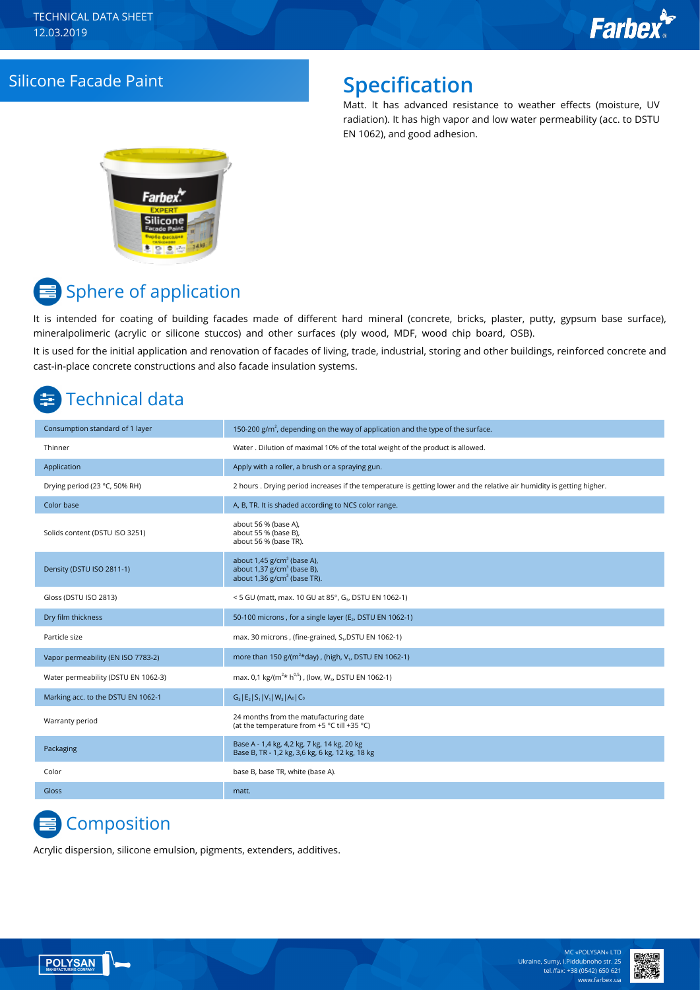### Silicone Facade Paint **Specification**

Matt. It has advanced resistance to weather effects (moisture, UV radiation). It has high vapor and low water permeability (acc. to DSTU EN 1062), and good adhesion.



# $\equiv$  Sphere of application

It is intended for coating of building facades made of different hard mineral (concrete, bricks, plaster, putty, gypsum base surface), mineralpolimeric (acrylic or silicone stuccos) and other surfaces (ply wood, MDF, wood chip board, OSB).

It is used for the initial application and renovation of facades of living, trade, industrial, storing and other buildings, reinforced concrete and cast-in-place concrete constructions and also facade insulation systems.

# Technical data

| Consumption standard of 1 layer     | 150-200 $g/m2$ , depending on the way of application and the type of the surface.                                                 |
|-------------------------------------|-----------------------------------------------------------------------------------------------------------------------------------|
| Thinner                             | Water . Dilution of maximal 10% of the total weight of the product is allowed.                                                    |
| Application                         | Apply with a roller, a brush or a spraying gun.                                                                                   |
| Drying period (23 °C, 50% RH)       | 2 hours . Drying period increases if the temperature is getting lower and the relative air humidity is getting higher.            |
| Color base                          | A, B, TR. It is shaded according to NCS color range.                                                                              |
| Solids content (DSTU ISO 3251)      | about 56 % (base A),<br>about 55 % (base B),<br>about 56 % (base TR).                                                             |
| Density (DSTU ISO 2811-1)           | about $1,45$ g/cm <sup>3</sup> (base A),<br>about $1,37$ g/cm <sup>3</sup> (base B),<br>about $1,36$ g/cm <sup>3</sup> (base TR). |
| Gloss (DSTU ISO 2813)               | <5 GU (matt, max. 10 GU at 85°, G <sub>3</sub> , DSTU EN 1062-1)                                                                  |
| Dry film thickness                  | 50-100 microns, for a single layer (E <sub>2</sub> , DSTU EN 1062-1)                                                              |
| Particle size                       | max. 30 microns, (fine-grained, S <sub>1</sub> , DSTU EN 1062-1)                                                                  |
| Vapor permeability (EN ISO 7783-2)  | more than 150 $g/(m^2 * day)$ , (high, V <sub>1</sub> , DSTU EN 1062-1)                                                           |
| Water permeability (DSTU EN 1062-3) | max. 0,1 kg/( $m^{2*}$ h <sup>0,5</sup> ), (low, W <sub>3</sub> , DSTU EN 1062-1)                                                 |
| Marking acc. to the DSTU EN 1062-1  | $G_3$   $E_2$   $S_1$   $V_1$   $W_3$   $A_0$   $C_0$                                                                             |
| Warranty period                     | 24 months from the matufacturing date<br>(at the temperature from +5 °C till +35 °C)                                              |
| Packaging                           | Base A - 1,4 kg, 4,2 kg, 7 kg, 14 kg, 20 kg<br>Base B, TR - 1,2 kg, 3,6 kg, 6 kg, 12 kg, 18 kg                                    |
| Color                               | base B, base TR, white (base A).                                                                                                  |
| Gloss                               | matt.                                                                                                                             |

### **Composition**

**POLYSAN** 

Acrylic dispersion, silicone emulsion, pigments, extenders, additives.